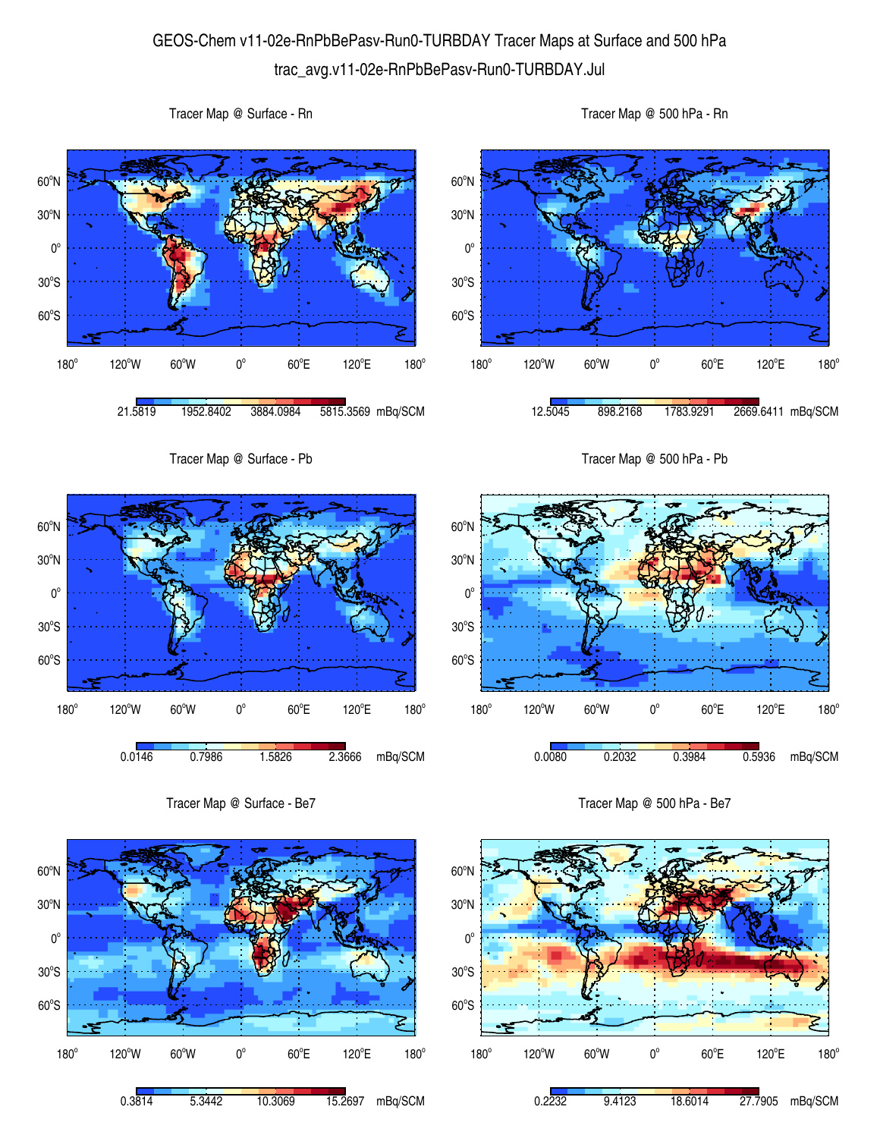## GEOS-Chem v11-02e-RnPbBePasv-Run0-TURBDAY Tracer Maps at Surface and 500 hPa trac\_avg.v11-02e-RnPbBePasv-Run0-TURBDAY.Jul





Tracer Map @ Surface - Rn



Tracer Map @ 500 hPa - Rn